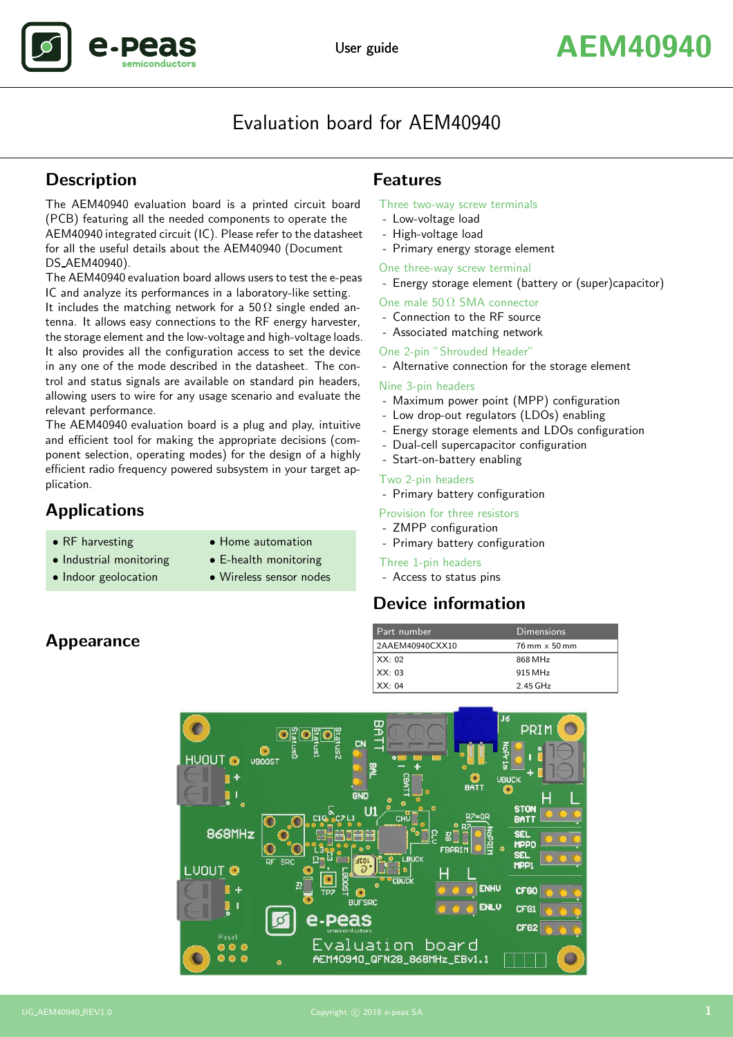

# Evaluation board for AEM40940

# **Description**

The AEM40940 evaluation board is a printed circuit board (PCB) featuring all the needed components to operate the AEM40940 integrated circuit (IC). Please refer to the datasheet for all the useful details about the AEM40940 (Document DS AEM40940).

The AEM40940 evaluation board allows users to test the e-peas IC and analyze its performances in a laboratory-like setting. It includes the matching network for a 50  $\Omega$  single ended antenna. It allows easy connections to the RF energy harvester, the storage element and the low-voltage and high-voltage loads. It also provides all the configuration access to set the device in any one of the mode described in the datasheet. The control and status signals are available on standard pin headers, allowing users to wire for any usage scenario and evaluate the relevant performance.

The AEM40940 evaluation board is a plug and play, intuitive and efficient tool for making the appropriate decisions (component selection, operating modes) for the design of a highly efficient radio frequency powered subsystem in your target application.

# Applications

- 
- RF harvesting Home automation
	-
- Industrial monitoring E-health monitoring
- Indoor geolocation Wireless sensor nodes

### Features

#### Three two-way screw terminals

- Low-voltage load
- High-voltage load
- Primary energy storage element

One three-way screw terminal

- Energy storage element (battery or (super)capacitor)

One male  $50 \Omega$  SMA connector

- Connection to the RF source
- Associated matching network

#### One 2-pin "Shrouded Header"

- Alternative connection for the storage element

#### Nine 3-pin headers

- Maximum power point (MPP) configuration
- Low drop-out regulators (LDOs) enabling
- Energy storage elements and LDOs configuration
- Dual-cell supercapacitor configuration
- Start-on-battery enabling

#### Two 2-pin headers

- Primary battery configuration
- Provision for three resistors
- ZMPP configuration
- Primary battery configuration

#### Three 1-pin headers

- Access to status pins

# Device information

| Part number     | Dimensions                           |
|-----------------|--------------------------------------|
| 2AAEM40940CXX10 | $76 \text{ mm} \times 50 \text{ mm}$ |
| $\vert$ XX: 02  | 868 MHz                              |
| $\vert$ XX: 03  | 915 MHz                              |
| $\vert$ XX: 04  | 2.45 GHz                             |



## Appearance

.De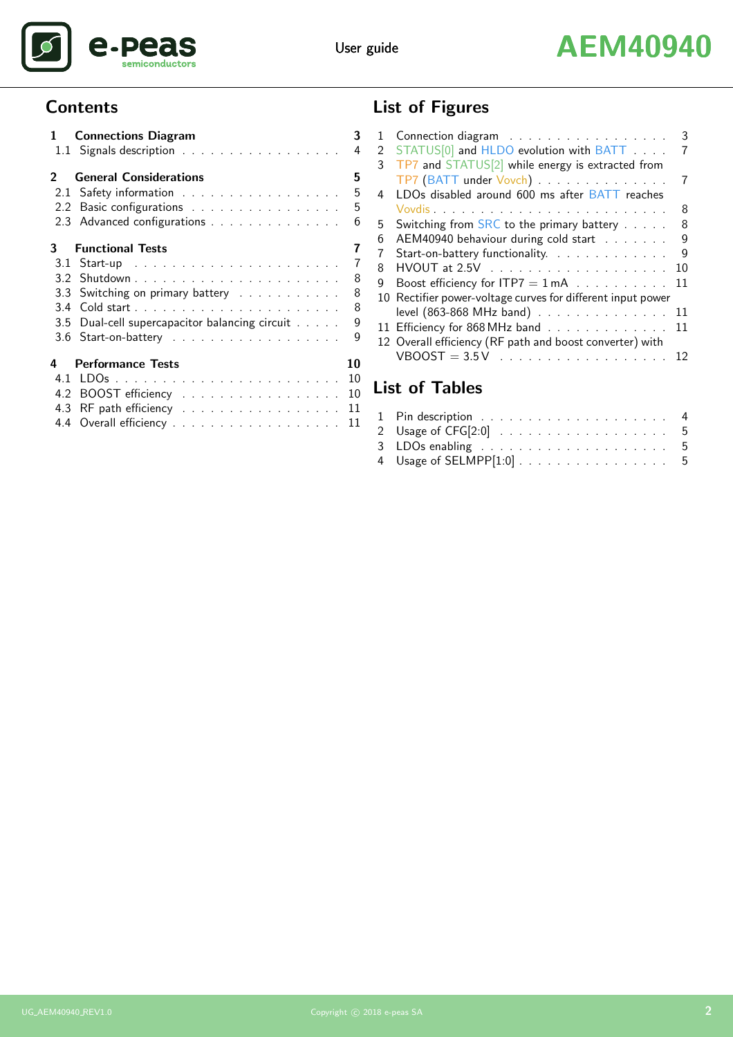

# User guide **AEM40940**

# **Contents**

|     | 1 Connections Diagram                          | 3              |
|-----|------------------------------------------------|----------------|
|     | 1.1 Signals description                        | 4              |
|     | <b>General Considerations</b>                  | 5              |
|     | 2.1 Safety information                         | 5              |
|     | 2.2 Basic configurations                       | 5              |
|     | 2.3 Advanced configurations                    | 6              |
| 3.  | <b>Functional Tests</b>                        | 7              |
|     |                                                | $\overline{7}$ |
|     |                                                | 8              |
|     | 3.3 Switching on primary battery               | 8              |
|     |                                                | 8              |
|     | 3.5 Dual-cell supercapacitor balancing circuit | 9              |
|     | 3.6 Start-on-battery                           | 9              |
| 4   | <b>Performance Tests</b>                       | 10             |
| 4.1 |                                                | 10             |
|     | 4.2 BOOST efficiency 10                        |                |
|     | 4.3 RF path efficiency 11                      |                |
|     | 4.4 Overall efficiency 11                      |                |

# List of Figures

| 1 | Connection diagram                                          | 3  |
|---|-------------------------------------------------------------|----|
| 2 | STATUS <sup>[0]</sup> and HLDO evolution with BATT          |    |
| 3 | TP7 and STATUS[2] while energy is extracted from            |    |
|   | TP7 (BATT under Vovch)                                      |    |
| 4 | LDOs disabled around 600 ms after BATT reaches              |    |
|   |                                                             | 8  |
| 5 | Switching from SRC to the primary battery                   | 8  |
| 6 | AEM40940 behaviour during cold start                        | 9  |
| 7 | Start-on-battery functionality.                             | 9  |
| 8 |                                                             | 10 |
| g | Boost efficiency for $ITP7 = 1 mA$                          | 11 |
|   | 10 Rectifier power-voltage curves for different input power |    |
|   | level (863-868 MHz band)                                    | 11 |
|   | 11 Efficiency for 868 MHz band                              | 11 |
|   | 12 Overall efficiency (RF path and boost converter) with    |    |
|   |                                                             | 12 |
|   |                                                             |    |

# List of Tables

| 2 Usage of CFG[2:0] 5    |  |
|--------------------------|--|
|                          |  |
| 4 Usage of SELMPP[1:0] 5 |  |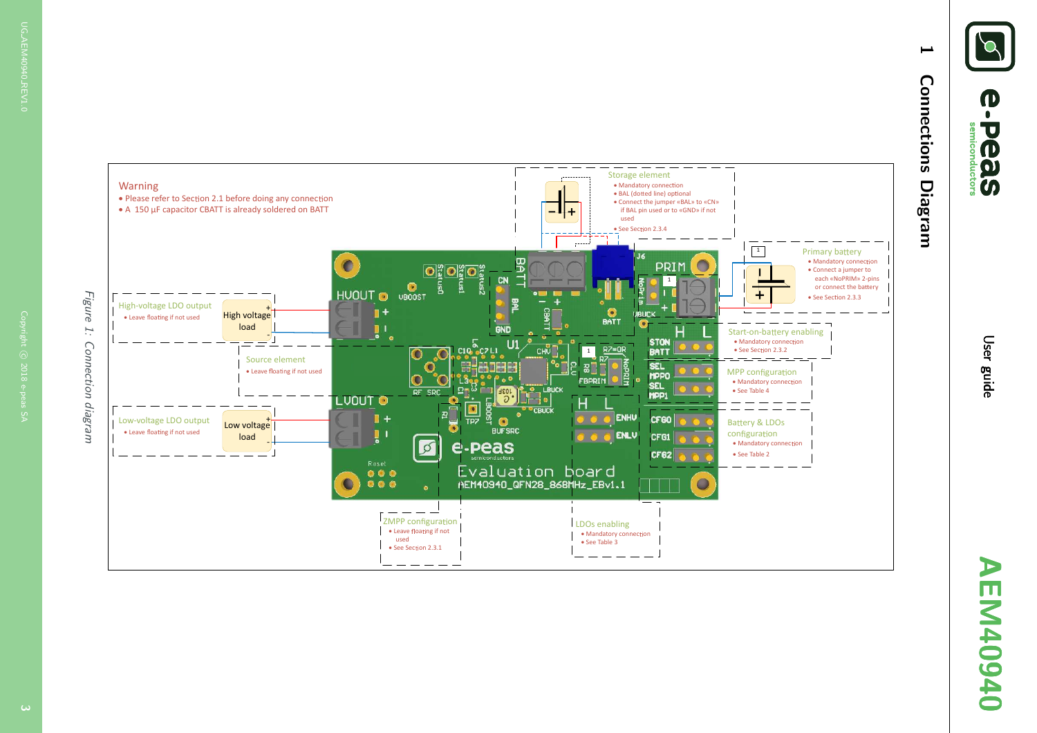

# 1 Connections Diagram Connections **Diagram**

 $\overline{\phantom{a}}$ 

<span id="page-2-1"></span><span id="page-2-0"></span>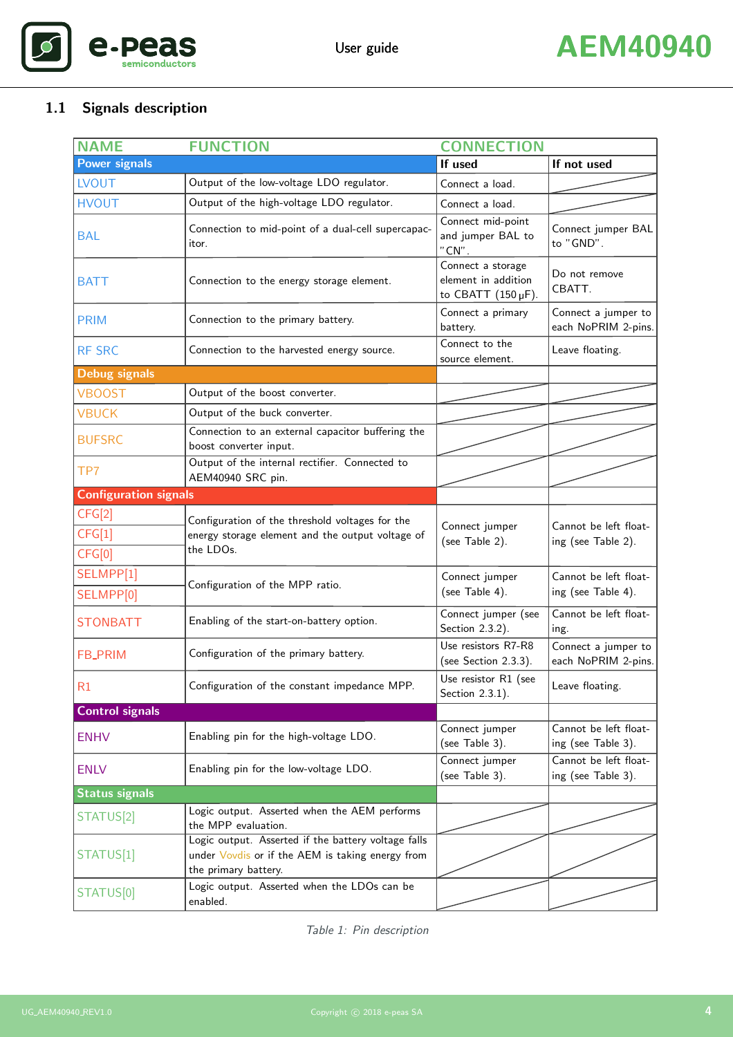

# <span id="page-3-1"></span><span id="page-3-0"></span>1.1 Signals description

| <b>NAME</b>                  | <b>FUNCTION</b>                                                                                                                 | <b>CONNECTION</b>                                                      |                                             |
|------------------------------|---------------------------------------------------------------------------------------------------------------------------------|------------------------------------------------------------------------|---------------------------------------------|
| <b>Power signals</b>         |                                                                                                                                 | If used                                                                | If not used                                 |
| <b>LVOUT</b>                 | Output of the low-voltage LDO regulator.                                                                                        | Connect a load.                                                        |                                             |
| <b>HVOUT</b>                 | Output of the high-voltage LDO regulator.                                                                                       | Connect a load.                                                        |                                             |
| <b>BAL</b>                   | Connection to mid-point of a dual-cell supercapac-<br>itor.                                                                     | Connect mid-point<br>and jumper BAL to<br>" $CN$ ".                    | Connect jumper BAL<br>to "GND".             |
| <b>BATT</b>                  | Connection to the energy storage element.                                                                                       | Connect a storage<br>element in addition<br>to CBATT $(150 \,\mu F)$ . | Do not remove<br>CBATT.                     |
| <b>PRIM</b>                  | Connection to the primary battery.                                                                                              | Connect a primary<br>battery.                                          | Connect a jumper to<br>each NoPRIM 2-pins.  |
| <b>RF SRC</b>                | Connection to the harvested energy source.                                                                                      | Connect to the<br>source element.                                      | Leave floating.                             |
| <b>Debug signals</b>         |                                                                                                                                 |                                                                        |                                             |
| <b>VBOOST</b>                | Output of the boost converter.                                                                                                  |                                                                        |                                             |
| <b>VBUCK</b>                 | Output of the buck converter.                                                                                                   |                                                                        |                                             |
| <b>BUFSRC</b>                | Connection to an external capacitor buffering the<br>boost converter input.                                                     |                                                                        |                                             |
| TP7                          | Output of the internal rectifier. Connected to<br>AEM40940 SRC pin.                                                             |                                                                        |                                             |
| <b>Configuration signals</b> |                                                                                                                                 |                                                                        |                                             |
| CFG[2]<br>CFG[1]<br>CFG[0]   | Configuration of the threshold voltages for the<br>energy storage element and the output voltage of<br>the LDOs.                | Connect jumper<br>(see Table 2).                                       | Cannot be left float-<br>ing (see Table 2). |
| SELMPP[1]<br>SELMPP[0]       | Configuration of the MPP ratio.                                                                                                 | Connect jumper<br>(see Table 4).                                       | Cannot be left float-<br>ing (see Table 4). |
| <b>STONBATT</b>              | Enabling of the start-on-battery option.                                                                                        | Connect jumper (see<br>Section 2.3.2).                                 | Cannot be left float-<br>ing.               |
| <b>FB_PRIM</b>               | Configuration of the primary battery.                                                                                           | Use resistors R7-R8<br>(see Section 2.3.3).                            | Connect a jumper to<br>each NoPRIM 2-pins.  |
| R1                           | Configuration of the constant impedance MPP.                                                                                    | Use resistor R1 (see<br>Section 2.3.1).                                | Leave floating.                             |
| <b>Control signals</b>       |                                                                                                                                 |                                                                        |                                             |
| <b>ENHV</b>                  | Enabling pin for the high-voltage LDO.                                                                                          | Connect jumper<br>(see Table 3).                                       | Cannot be left float-<br>ing (see Table 3). |
| <b>ENLV</b>                  | Enabling pin for the low-voltage LDO.                                                                                           | Connect jumper<br>(see Table 3).                                       | Cannot be left float-<br>ing (see Table 3). |
| <b>Status signals</b>        |                                                                                                                                 |                                                                        |                                             |
| STATUS[2]                    | Logic output. Asserted when the AEM performs<br>the MPP evaluation.                                                             |                                                                        |                                             |
| STATUS[1]                    | Logic output. Asserted if the battery voltage falls<br>under Vovdis or if the AEM is taking energy from<br>the primary battery. |                                                                        |                                             |
| STATUS[0]                    | Logic output. Asserted when the LDOs can be<br>enabled.                                                                         |                                                                        |                                             |

Table 1: Pin description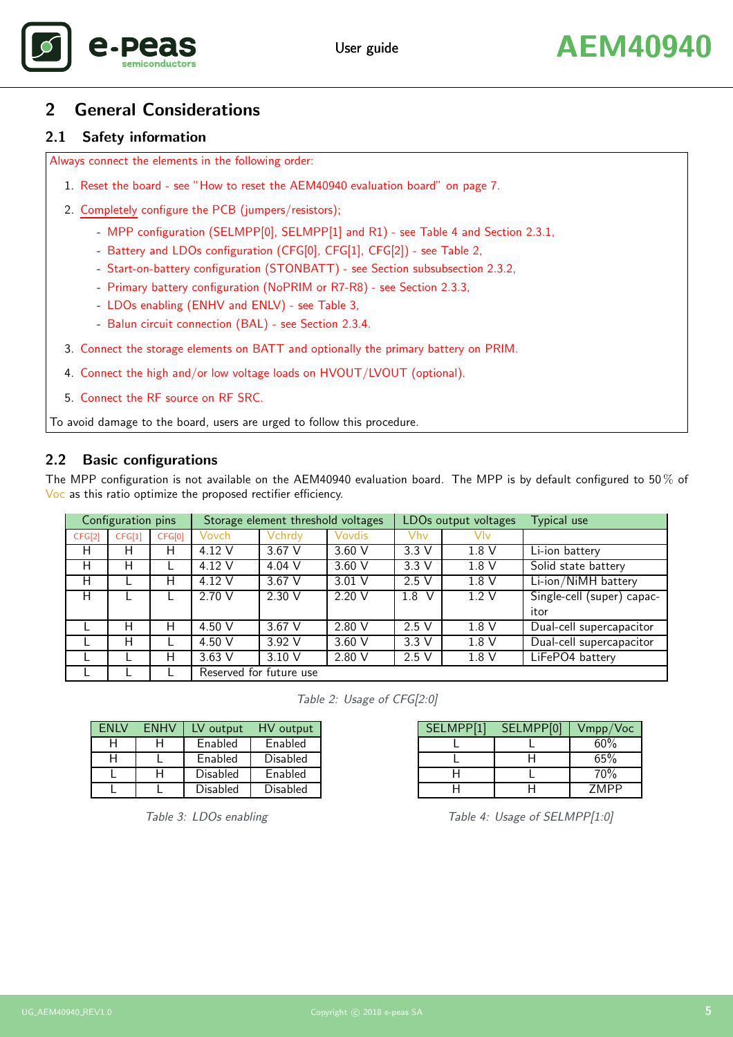

# <span id="page-4-0"></span>2 General Considerations

#### <span id="page-4-1"></span>2.1 Safety information

Always connect the elements in the following order:

- 1. Reset the board see ["How to reset the AEM40940 evaluation board"](#page-5-4) on page [7.](#page-6-4)
- 2. Completely configure the PCB (jumpers/resistors);
	- MPP configuration (SELMPP[0], SELMPP[1] and R1) see [Table 4](#page-4-5) and Section [2.3.1,](#page-5-3)
	- Battery and LDOs configuration (CFG[0], CFG[1], CFG[2]) see [Table 2,](#page-4-3)
	- Start-on-battery configuration (STONBATT) see Section [subsubsection 2.3.2,](#page-5-1)
	- Primary battery configuration (NoPRIM or R7-R8) see Section [2.3.3,](#page-5-2)
	- LDOs enabling (ENHV and ENLV) see [Table 3,](#page-4-4)
	- Balun circuit connection (BAL) see Section [2.3.4.](#page-5-4)
- 3. Connect the storage elements on BATT and optionally the primary battery on PRIM.
- 4. Connect the high and/or low voltage loads on HVOUT/LVOUT (optional).
- 5. Connect the RF source on RF SRC.

To avoid damage to the board, users are urged to follow this procedure.

#### <span id="page-4-2"></span>2.2 Basic configurations

The MPP configuration is not available on the AEM40940 evaluation board. The MPP is by default configured to 50  $\%$  of Voc as this ratio optimize the proposed rectifier efficiency.

|        | Configuration pins |        |                         | Storage element threshold voltages |          |          | LDOs output voltages | Typical use                 |
|--------|--------------------|--------|-------------------------|------------------------------------|----------|----------|----------------------|-----------------------------|
| CFG[2] | CFG[1]             | CFG[0] | Vovch                   | Vchrdy                             | Vovdis   | Vhv      | Vlv                  |                             |
| H      | н                  | H      | 4.12 V                  | $3.67$ V                           | $3.60$ V | 3.3V     | 1.8V                 | Li-ion battery              |
| н      | н                  |        | 4.12 V                  | 4.04 V                             | 3.60V    | 3.3V     | 1.8 <sub>V</sub>     | Solid state battery         |
| Н      |                    | н      | 4.12 V                  | 3.67 V                             | $3.01$ V | 2.5V     | 1.8V                 | Li-ion/NiMH battery         |
| н      |                    |        | 2.70V                   | 2.30 V                             | 2.20 V   | 1.8<br>V | 1.2V                 | Single-cell (super) capac-  |
|        |                    |        |                         |                                    |          |          |                      | itor                        |
|        | Н                  | Н      | 4.50 $V$                | $3.67$ V                           | 2.80V    | 2.5V     | 1.8 <sub>V</sub>     | Dual-cell supercapacitor    |
|        | н                  |        | 4.50 $V$                | 3.92V                              | $3.60$ V | 3.3V     | 1.8V                 | Dual-cell supercapacitor    |
|        |                    | н      | $3.63$ V                | 3.10 V                             | 2.80 V   | 2.5V     | 1.8V                 | LiFePO <sub>4</sub> battery |
|        |                    |        | Reserved for future use |                                    |          |          |                      |                             |

<span id="page-4-3"></span>Table 2: Usage of CFG[2:0]

| <b>FNIV</b> | <b>FNHV</b> | LV output | HV output |
|-------------|-------------|-----------|-----------|
|             |             | Enabled   | Enabled   |
|             |             | Enabled   | Disabled  |
|             |             | Disabled  | Enabled   |
|             |             | Disabled  | Disabled  |

<span id="page-4-4"></span>Table 3: LDOs enabling

| SELMPP[1] | SELMPP[0] | Vmpp/Voc |
|-----------|-----------|----------|
|           |           | 60%      |
|           |           | 65%      |
|           |           | 70%      |
|           |           | 7MPP     |

<span id="page-4-5"></span>Table 4: Usage of SELMPP[1:0]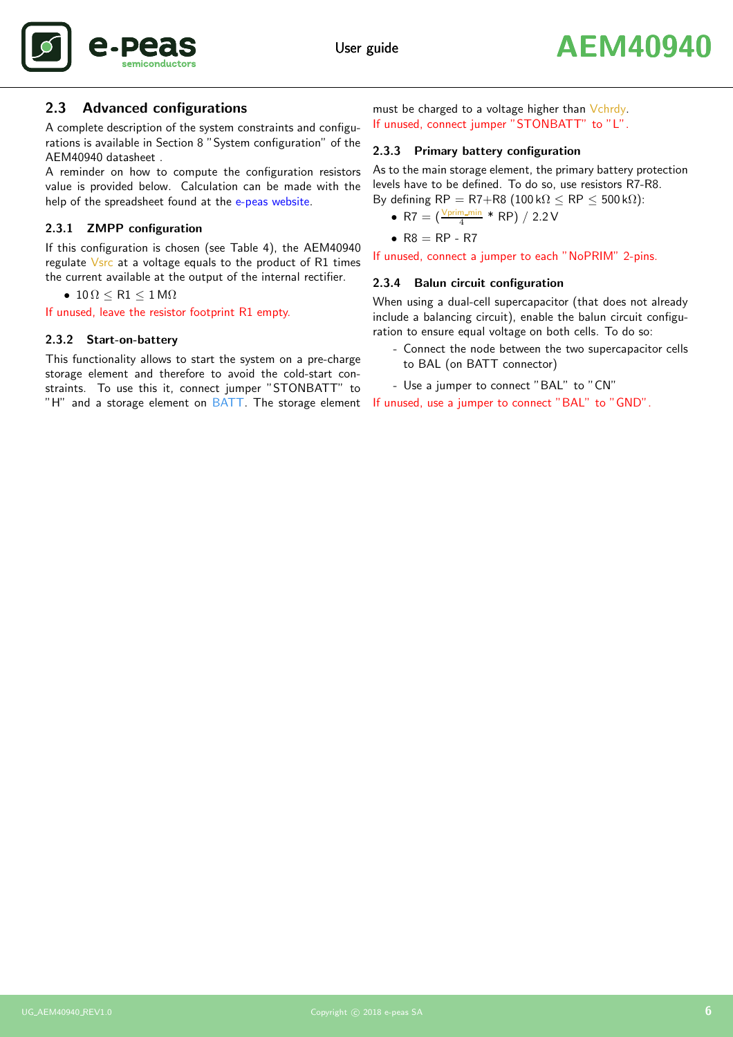

#### <span id="page-5-0"></span>2.3 Advanced configurations

A complete description of the system constraints and configurations is available in Section 8 "System configuration" of the AEM40940 datasheet .

A reminder on how to compute the configuration resistors value is provided below. Calculation can be made with the help of the spreadsheet found at the [e-peas website.](https://www.e-peas.com)

#### <span id="page-5-3"></span>2.3.1 ZMPP configuration

If this configuration is chosen (see [Table 4\)](#page-4-5), the AEM40940 regulate Vsrc at a voltage equals to the product of R1 times the current available at the output of the internal rectifier.

•  $10 \Omega \leq R1 \leq 1 M\Omega$ 

<span id="page-5-1"></span>If unused, leave the resistor footprint R1 empty.

#### 2.3.2 Start-on-battery

This functionality allows to start the system on a pre-charge storage element and therefore to avoid the cold-start constraints. To use this it, connect jumper "STONBATT" to "H" and a storage element on BATT. The storage element

must be charged to a voltage higher than Vchrdy. If unused, connect jumper "STONBATT" to "L".

#### <span id="page-5-2"></span>2.3.3 Primary battery configuration

As to the main storage element, the primary battery protection levels have to be defined. To do so, use resistors R7-R8. By defining  $RP = R7+R8$  (100 k $\Omega \le RP \le 500$  k $\Omega$ ):

• R7 = 
$$
\left(\frac{V \text{prim\_min}}{4} * \text{RP}\right) / 2.2 \text{V}
$$

$$
\bullet \ \mathsf{R8} = \mathsf{RP} - \mathsf{R7}
$$

<span id="page-5-4"></span>If unused, connect a jumper to each "NoPRIM" 2-pins.

#### 2.3.4 Balun circuit configuration

When using a dual-cell supercapacitor (that does not already include a balancing circuit), enable the balun circuit configuration to ensure equal voltage on both cells. To do so:

- Connect the node between the two supercapacitor cells to BAL (on BATT connector)
- Use a jumper to connect "BAL" to "CN"

If unused, use a jumper to connect "BAL" to "GND".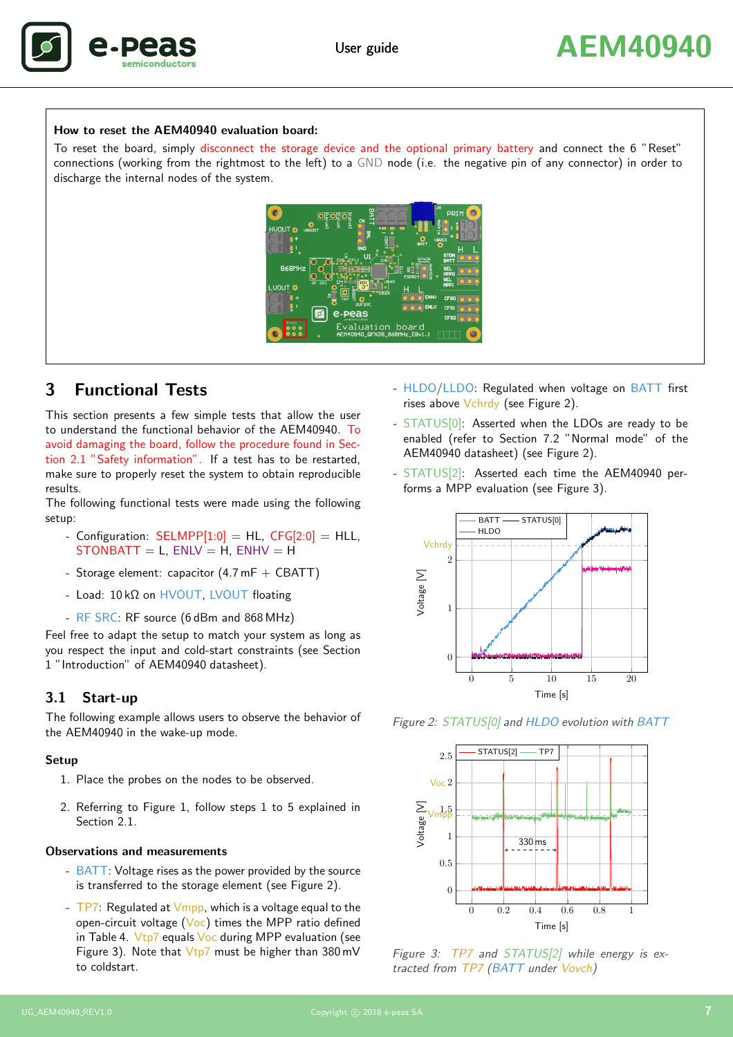

#### How to reset the AEM40940 evaluation board:

<span id="page-6-4"></span>To reset the board, simply disconnect the storage device and the optional primary battery and connect the 6 "Reset" connections (working from the rightmost to the left) to a GND node (i.e. the negative pin of any connector) in order to discharge the internal nodes of the system.



# <span id="page-6-0"></span>3 Functional Tests

This section presents a few simple tests that allow the user to understand the functional behavior of the AEM40940. To avoid damaging the board, follow the procedure found in Section [2.1](#page-4-1) "Safety information". If a test has to be restarted, make sure to properly reset the system to obtain reproducible results.

The following functional tests were made using the following setup:

- Configuration:  $SELMPP[1:0] = HL$ ,  $CFG[2:0] = HL$ ,  $STONBAT = L$ ,  $ENLV = H$ ,  $ENHV = H$
- Storage element: capacitor  $(4.7 mF + CBAT)$
- Load: 10 kΩ on HVOUT, LVOUT floating
- RF SRC: RF source (6 dBm and 868 MHz)

Feel free to adapt the setup to match your system as long as you respect the input and cold-start constraints (see Section 1 "Introduction" of AEM40940 datasheet).

#### <span id="page-6-1"></span>3.1 Start-up

The following example allows users to observe the behavior of the AEM40940 in the wake-up mode.

#### Setup

- 1. Place the probes on the nodes to be observed.
- 2. Referring to [Figure 1,](#page-2-1) follow steps 1 to 5 explained in Section [2.1.](#page-4-1)

#### Observations and measurements

- BATT: Voltage rises as the power provided by the source is transferred to the storage element (see [Figure 2\)](#page-6-2).
- $-$  TP7: Regulated at  $V_{\text{mpp}}$ , which is a voltage equal to the open-circuit voltage  $(Voc)$  times the MPP ratio defined in [Table 4.](#page-4-5)  $Vtp7$  equals  $Voc$  during MPP evaluation (see [Figure 3\)](#page-6-3). Note that  $Vtp7$  must be higher than 380 mV to coldstart.
- HLDO/LLDO: Regulated when voltage on BATT first rises above Vchrdy (see [Figure 2\)](#page-6-2).
- STATUS[0]: Asserted when the LDOs are ready to be enabled (refer to Section 7.2 "Normal mode" of the AEM40940 datasheet) (see [Figure 2\)](#page-6-2).
- STATUS[2]: Asserted each time the AEM40940 performs a MPP evaluation (see [Figure 3\)](#page-6-3).



Figure 2: STATUS[0] and HLDO evolution with BATT

<span id="page-6-2"></span>

<span id="page-6-3"></span>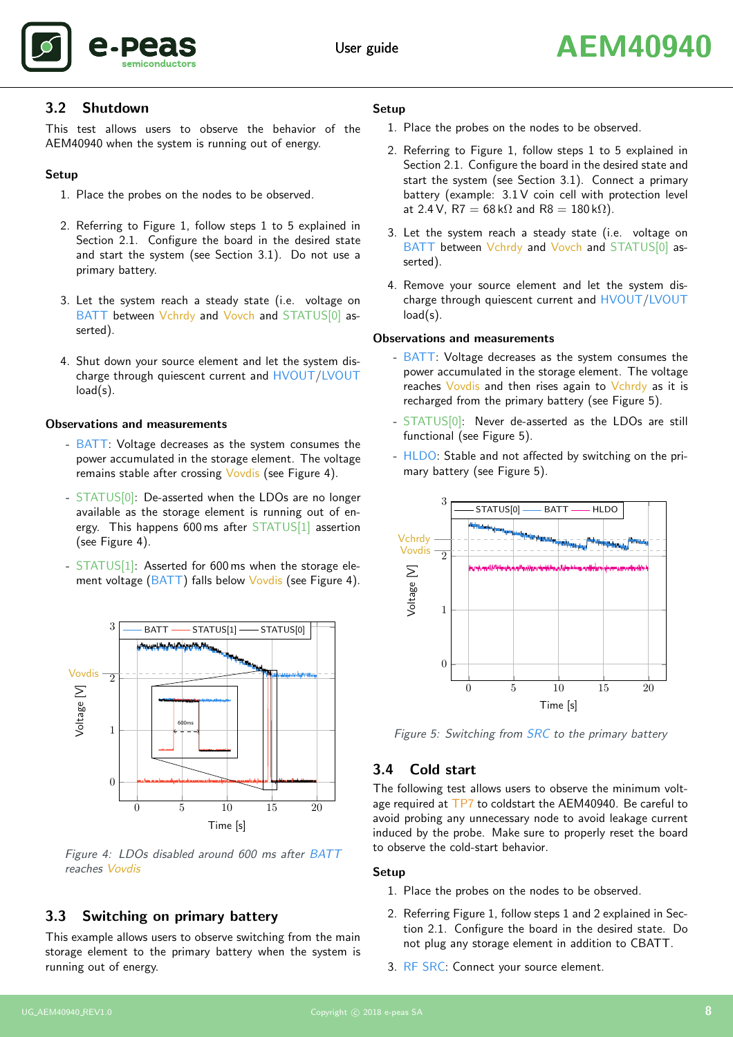

#### <span id="page-7-0"></span>3.2 Shutdown

This test allows users to observe the behavior of the AEM40940 when the system is running out of energy.

#### Setup

- 1. Place the probes on the nodes to be observed.
- 2. Referring to [Figure 1,](#page-2-1) follow steps 1 to 5 explained in Section [2.1.](#page-4-1) Configure the board in the desired state and start the system (see Section [3.1\)](#page-6-1). Do not use a primary battery.
- 3. Let the system reach a steady state (i.e. voltage on BATT between Vchrdy and Vovch and STATUS[0] asserted).
- 4. Shut down your source element and let the system discharge through quiescent current and HVOUT/LVOUT load(s).

#### Observations and measurements

- BATT: Voltage decreases as the system consumes the power accumulated in the storage element. The voltage remains stable after crossing Vovdis (see [Figure 4\)](#page-7-3).
- STATUS[0]: De-asserted when the LDOs are no longer available as the storage element is running out of energy. This happens 600 ms after STATUS[1] assertion (see [Figure 4\)](#page-7-3).
- STATUS[1]: Asserted for 600 ms when the storage ele-ment voltage (BATT) falls below Vovdis (see [Figure 4\)](#page-7-3).



<span id="page-7-3"></span>Figure 4: LDOs disabled around 600 ms after BATT reaches Vovdis

# <span id="page-7-1"></span>3.3 Switching on primary battery

This example allows users to observe switching from the main storage element to the primary battery when the system is running out of energy.

#### Setup

- 1. Place the probes on the nodes to be observed.
- 2. Referring to [Figure 1,](#page-2-1) follow steps 1 to 5 explained in Section [2.1.](#page-4-1) Configure the board in the desired state and start the system (see Section [3.1\)](#page-6-1). Connect a primary battery (example: 3.1 V coin cell with protection level at 2.4 V, R7 =  $68 \text{ k}\Omega$  and R8 =  $180 \text{ k}\Omega$ ).
- 3. Let the system reach a steady state (i.e. voltage on BATT between Vchrdy and Vovch and STATUS[0] asserted).
- 4. Remove your source element and let the system discharge through quiescent current and HVOUT/LVOUT load(s).

#### Observations and measurements

- BATT: Voltage decreases as the system consumes the power accumulated in the storage element. The voltage reaches Vovdis and then rises again to Vchrdy as it is recharged from the primary battery (see [Figure 5\)](#page-7-4).
- STATUS<sup>[0]</sup>: Never de-asserted as the LDOs are still functional (see [Figure 5\)](#page-7-4).
- HLDO: Stable and not affected by switching on the primary battery (see [Figure 5\)](#page-7-4).



<span id="page-7-4"></span>Figure 5: Switching from SRC to the primary battery

## <span id="page-7-2"></span>3.4 Cold start

The following test allows users to observe the minimum voltage required at TP7 to coldstart the AEM40940. Be careful to avoid probing any unnecessary node to avoid leakage current induced by the probe. Make sure to properly reset the board to observe the cold-start behavior.

#### Setup

- 1. Place the probes on the nodes to be observed.
- 2. Referring [Figure 1,](#page-2-1) follow steps 1 and 2 explained in Section [2.1.](#page-4-1) Configure the board in the desired state. Do not plug any storage element in addition to CBATT.
- 3. RF SRC: Connect your source element.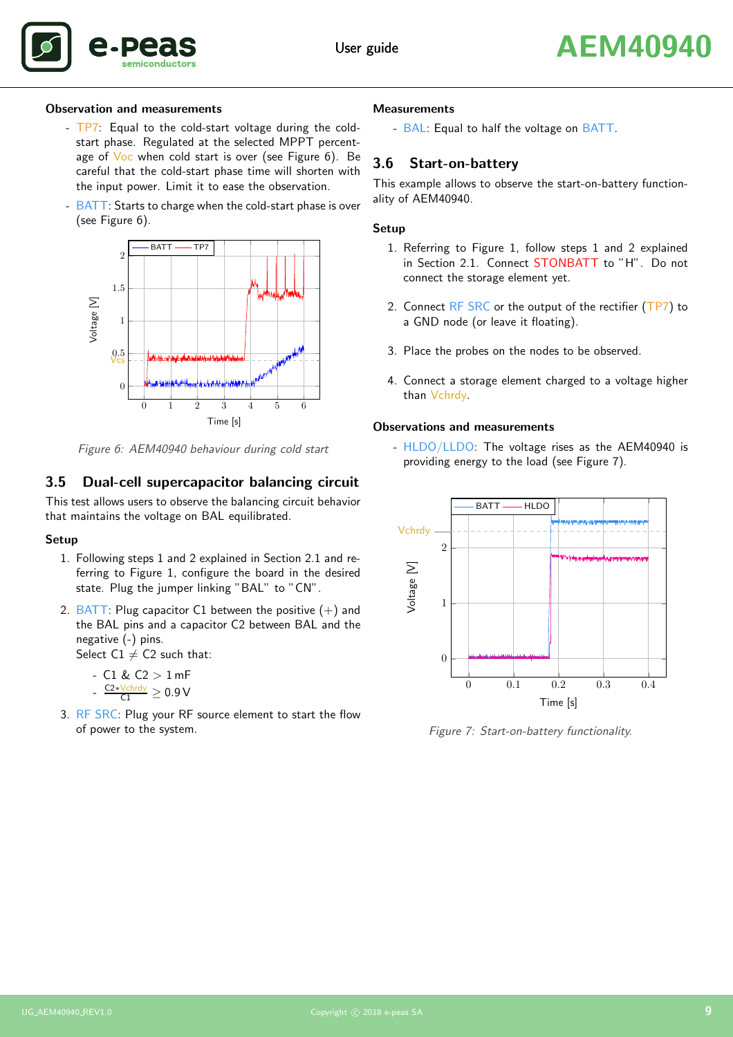

#### Observation and measurements

- TP7: Equal to the cold-start voltage during the coldstart phase. Regulated at the selected MPPT percent-age of Voc when cold start is over (see [Figure 6\)](#page-8-2). Be careful that the cold-start phase time will shorten with the input power. Limit it to ease the observation.
- BATT: Starts to charge when the cold-start phase is over (see [Figure 6\)](#page-8-2).



<span id="page-8-2"></span>Figure 6: AEM40940 behaviour during cold start

#### <span id="page-8-0"></span>3.5 Dual-cell supercapacitor balancing circuit

This test allows users to observe the balancing circuit behavior that maintains the voltage on BAL equilibrated.

#### Setup

- 1. Following steps 1 and 2 explained in Section [2.1](#page-4-1) and referring to [Figure 1,](#page-2-1) configure the board in the desired state. Plug the jumper linking "BAL" to "CN".
- 2. BATT: Plug capacitor C1 between the positive  $(+)$  and the BAL pins and a capacitor C2 between BAL and the negative (-) pins.

Select  $C1 \neq C2$  such that:

- $C1 & C2 > 1$  mF -  $\frac{\text{C2} * \text{Vchrdy}}{\text{C1}}$   $\geq 0.9$   $\text{V}$
- 3. RF SRC: Plug your RF source element to start the flow of power to the system.

#### **Measurements**

- BAL: Equal to half the voltage on BATT.

#### <span id="page-8-1"></span>3.6 Start-on-battery

This example allows to observe the start-on-battery functionality of AEM40940.

#### Setup

- 1. Referring to [Figure 1,](#page-2-1) follow steps 1 and 2 explained in Section [2.1.](#page-4-1) Connect STONBATT to "H". Do not connect the storage element yet.
- 2. Connect  $RF$  SRC or the output of the rectifier (TP7) to a GND node (or leave it floating).
- 3. Place the probes on the nodes to be observed.
- 4. Connect a storage element charged to a voltage higher than Vchrdy.

#### Observations and measurements

- HLDO/LLDO: The voltage rises as the AEM40940 is providing energy to the load (see [Figure 7\)](#page-8-3).



<span id="page-8-3"></span>Figure 7: Start-on-battery functionality.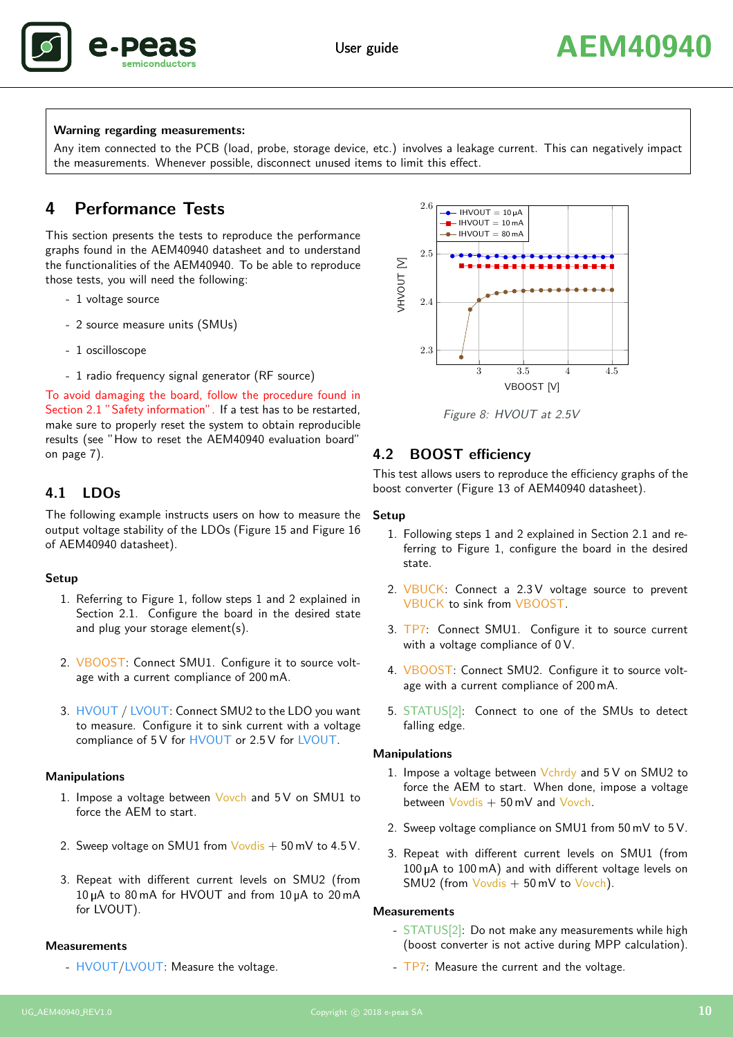

#### Warning regarding measurements:

Any item connected to the PCB (load, probe, storage device, etc.) involves a leakage current. This can negatively impact the measurements. Whenever possible, disconnect unused items to limit this effect.

# <span id="page-9-0"></span>4 Performance Tests

This section presents the tests to reproduce the performance graphs found in the AEM40940 datasheet and to understand the functionalities of the AEM40940. To be able to reproduce those tests, you will need the following:

- 1 voltage source
- 2 source measure units (SMUs)
- 1 oscilloscope
- 1 radio frequency signal generator (RF source)

To avoid damaging the board, follow the procedure found in Section [2.1](#page-4-1) "Safety information". If a test has to be restarted, make sure to properly reset the system to obtain reproducible results (see ["How to reset the AEM40940 evaluation board"](#page-5-4) on page [7\)](#page-6-4).

#### <span id="page-9-1"></span>4.1 LDOs

The following example instructs users on how to measure the output voltage stability of the LDOs (Figure 15 and Figure 16 of AEM40940 datasheet).

#### Setup

- 1. Referring to [Figure 1,](#page-2-1) follow steps 1 and 2 explained in Section [2.1.](#page-4-1) Configure the board in the desired state and plug your storage element(s).
- 2. VBOOST: Connect SMU1. Configure it to source voltage with a current compliance of 200 mA.
- 3. HVOUT / LVOUT: Connect SMU2 to the LDO you want to measure. Configure it to sink current with a voltage compliance of 5 V for HVOUT or 2.5 V for LVOUT.

#### Manipulations

- 1. Impose a voltage between Vovch and 5 V on SMU1 to force the AEM to start.
- 2. Sweep voltage on SMU1 from  $Vovdis + 50$  mV to 4.5 V.
- 3. Repeat with different current levels on SMU2 (from 10 <sup>µ</sup>A to 80 mA for HVOUT and from 10 <sup>µ</sup>A to 20 mA for LVOUT).

#### **Measurements**

- HVOUT/LVOUT: Measure the voltage.



<span id="page-9-3"></span>Figure 8: HVOUT at 2.5V

#### <span id="page-9-2"></span>4.2 BOOST efficiency

This test allows users to reproduce the efficiency graphs of the boost converter (Figure 13 of AEM40940 datasheet).

#### Setup

- 1. Following steps 1 and 2 explained in Section [2.1](#page-4-1) and referring to [Figure 1,](#page-2-1) configure the board in the desired state.
- 2. VBUCK: Connect a 2.3V voltage source to prevent VBUCK to sink from VBOOST.
- 3. TP7: Connect SMU1. Configure it to source current with a voltage compliance of 0 V.
- 4. VBOOST: Connect SMU2. Configure it to source voltage with a current compliance of 200 mA.
- 5. STATUS[2]: Connect to one of the SMUs to detect falling edge.

#### Manipulations

- 1. Impose a voltage between  $Vchrdy$  and  $5V$  on SMU2 to force the AEM to start. When done, impose a voltage between  $Vovdis + 50$  mV and  $Vovch.$
- 2. Sweep voltage compliance on SMU1 from 50 mV to 5 V.
- 3. Repeat with different current levels on SMU1 (from 100 <sup>µ</sup>A to 100 mA) and with different voltage levels on SMU2 (from Vovdis  $+50$  mV to Vovch).

#### **Measurements**

- STATUS[2]: Do not make any measurements while high (boost converter is not active during MPP calculation).
- TP7: Measure the current and the voltage.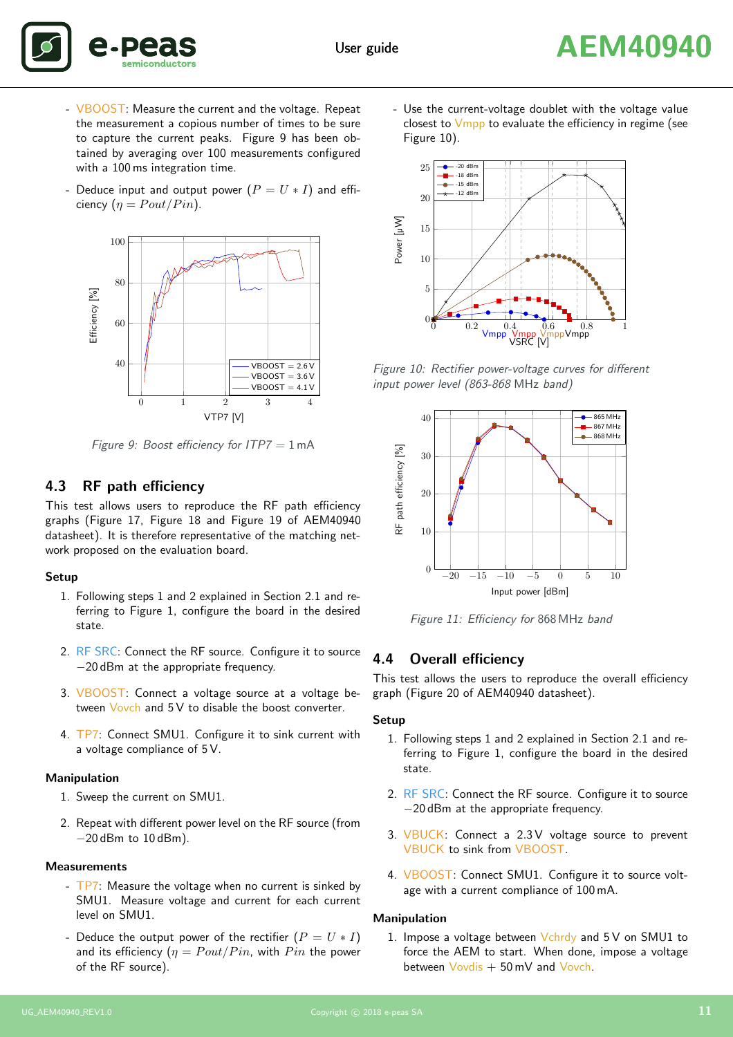



- VBOOST: Measure the current and the voltage. Repeat the measurement a copious number of times to be sure to capture the current peaks. [Figure 9](#page-10-2) has been obtained by averaging over 100 measurements configured with a 100 ms integration time.
- Deduce input and output power  $(P = U * I)$  and efficiency  $(\eta =$  Pout/Pin).



<span id="page-10-2"></span>Figure 9: Boost efficiency for  $ITP7 = 1$  mA

#### <span id="page-10-0"></span>4.3 RF path efficiency

This test allows users to reproduce the RF path efficiency graphs (Figure 17, Figure 18 and Figure 19 of AEM40940 datasheet). It is therefore representative of the matching network proposed on the evaluation board.

#### Setup

- 1. Following steps 1 and 2 explained in Section [2.1](#page-4-1) and referring to [Figure 1,](#page-2-1) configure the board in the desired state.
- 2. RF SRC: Connect the RF source. Configure it to source −20 dBm at the appropriate frequency.
- 3. VBOOST: Connect a voltage source at a voltage between Vovch and 5 V to disable the boost converter.
- 4. TP7: Connect SMU1. Configure it to sink current with a voltage compliance of 5 V.

#### Manipulation

- 1. Sweep the current on SMU1.
- 2. Repeat with different power level on the RF source (from −20 dBm to 10 dBm).

#### **Measurements**

- TP7: Measure the voltage when no current is sinked by SMU1. Measure voltage and current for each current level on SMU1.
- Deduce the output power of the rectifier  $(P = U * I)$ and its efficiency  $(\eta = Pout/Pin)$ , with  $Pin$  the power of the RF source).

- Use the current-voltage doublet with the voltage value closest to  $V$ mpp to evaluate the efficiency in regime (see [Figure 10\)](#page-10-3).



Figure 10: Rectifier power-voltage curves for different input power level (863-868 MHz band)

<span id="page-10-3"></span>

<span id="page-10-4"></span>Figure 11: Efficiency for 868 MHz band

#### <span id="page-10-1"></span>4.4 Overall efficiency

This test allows the users to reproduce the overall efficiency graph (Figure 20 of AEM40940 datasheet).

#### Setup

- 1. Following steps 1 and 2 explained in Section [2.1](#page-4-1) and referring to [Figure 1,](#page-2-1) configure the board in the desired state.
- 2. RF SRC: Connect the RF source. Configure it to source −20 dBm at the appropriate frequency.
- 3. VBUCK: Connect a 2.3 V voltage source to prevent VBUCK to sink from VBOOST.
- 4. VBOOST: Connect SMU1. Configure it to source voltage with a current compliance of 100 mA.

#### Manipulation

1. Impose a voltage between Vchrdy and 5 V on SMU1 to force the AEM to start. When done, impose a voltage between Vovdis + 50 mV and Vovch.